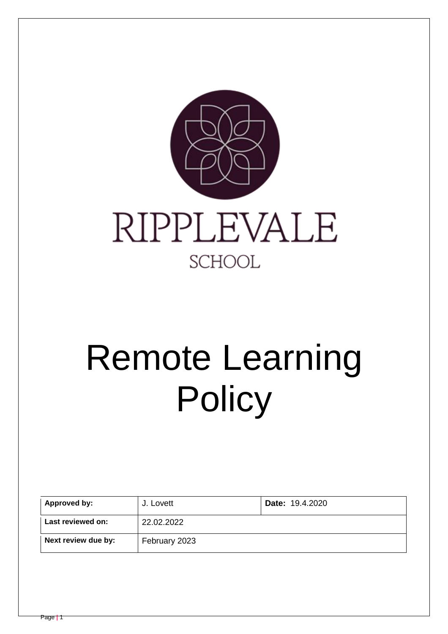

# Remote Learning **Policy**

| Approved by:        | J. Lovett     | <b>Date: 19.4.2020</b> |
|---------------------|---------------|------------------------|
| Last reviewed on:   | 22.02.2022    |                        |
| Next review due by: | February 2023 |                        |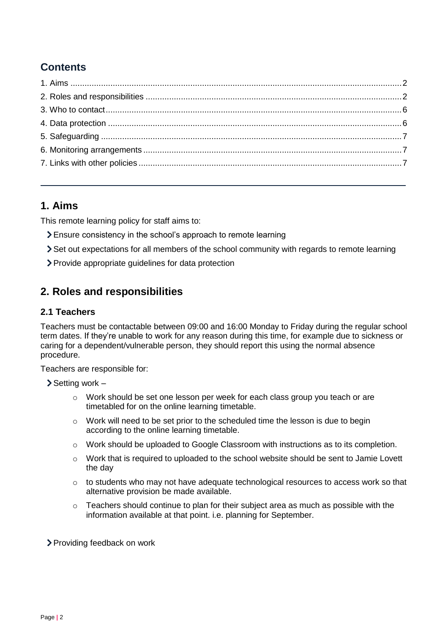# **Contents**

# <span id="page-1-0"></span>**1. Aims**

This remote learning policy for staff aims to:

- Ensure consistency in the school's approach to remote learning
- Set out expectations for all members of the school community with regards to remote learning
- Provide appropriate guidelines for data protection

# <span id="page-1-1"></span>**2. Roles and responsibilities**

## **2.1 Teachers**

Teachers must be contactable between 09:00 and 16:00 Monday to Friday during the regular school term dates. If they're unable to work for any reason during this time, for example due to sickness or caring for a dependent/vulnerable person, they should report this using the normal absence procedure.

Teachers are responsible for:

 $\triangleright$  Setting work –

- o Work should be set one lesson per week for each class group you teach or are timetabled for on the online learning timetable.
- o Work will need to be set prior to the scheduled time the lesson is due to begin according to the online learning timetable.
- $\circ$  Work should be uploaded to Google Classroom with instructions as to its completion.
- $\circ$  Work that is required to uploaded to the school website should be sent to Jamie Lovett the day
- $\circ$  to students who may not have adequate technological resources to access work so that alternative provision be made available.
- o Teachers should continue to plan for their subject area as much as possible with the information available at that point. i.e. planning for September.

Providing feedback on work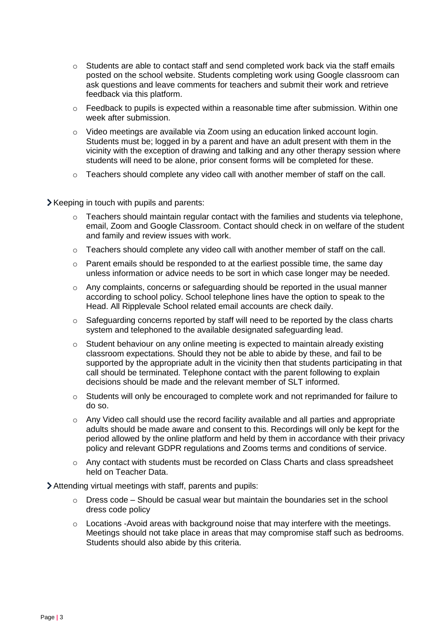- o Students are able to contact staff and send completed work back via the staff emails posted on the school website. Students completing work using Google classroom can ask questions and leave comments for teachers and submit their work and retrieve feedback via this platform.
- $\circ$  Feedback to pupils is expected within a reasonable time after submission. Within one week after submission.
- $\circ$  Video meetings are available via Zoom using an education linked account login. Students must be; logged in by a parent and have an adult present with them in the vicinity with the exception of drawing and talking and any other therapy session where students will need to be alone, prior consent forms will be completed for these.
- o Teachers should complete any video call with another member of staff on the call.

Xeeping in touch with pupils and parents:

- o Teachers should maintain regular contact with the families and students via telephone, email, Zoom and Google Classroom. Contact should check in on welfare of the student and family and review issues with work.
- $\circ$  Teachers should complete any video call with another member of staff on the call.
- $\circ$  Parent emails should be responded to at the earliest possible time, the same day unless information or advice needs to be sort in which case longer may be needed.
- $\circ$  Any complaints, concerns or safeguarding should be reported in the usual manner according to school policy. School telephone lines have the option to speak to the Head. All Ripplevale School related email accounts are check daily.
- o Safeguarding concerns reported by staff will need to be reported by the class charts system and telephoned to the available designated safeguarding lead.
- $\circ$  Student behaviour on any online meeting is expected to maintain already existing classroom expectations. Should they not be able to abide by these, and fail to be supported by the appropriate adult in the vicinity then that students participating in that call should be terminated. Telephone contact with the parent following to explain decisions should be made and the relevant member of SLT informed.
- o Students will only be encouraged to complete work and not reprimanded for failure to do so.
- $\circ$  Any Video call should use the record facility available and all parties and appropriate adults should be made aware and consent to this. Recordings will only be kept for the period allowed by the online platform and held by them in accordance with their privacy policy and relevant GDPR regulations and Zooms terms and conditions of service.
- $\circ$  Any contact with students must be recorded on Class Charts and class spreadsheet held on Teacher Data.

Attending virtual meetings with staff, parents and pupils:

- $\circ$  Dress code Should be casual wear but maintain the boundaries set in the school dress code policy
- o Locations -Avoid areas with background noise that may interfere with the meetings. Meetings should not take place in areas that may compromise staff such as bedrooms. Students should also abide by this criteria.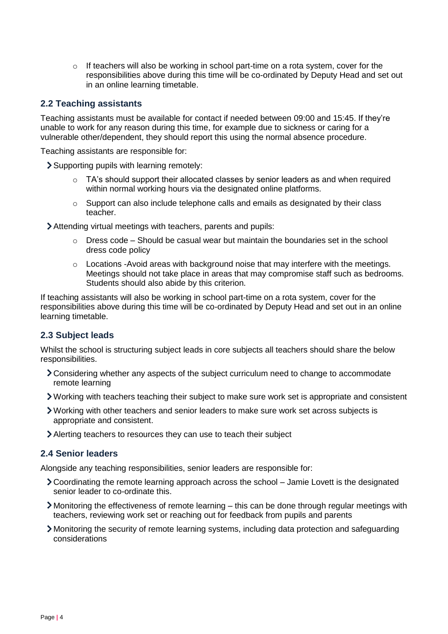$\circ$  If teachers will also be working in school part-time on a rota system, cover for the responsibilities above during this time will be co-ordinated by Deputy Head and set out in an online learning timetable.

#### **2.2 Teaching assistants**

Teaching assistants must be available for contact if needed between 09:00 and 15:45. If they're unable to work for any reason during this time, for example due to sickness or caring for a vulnerable other/dependent, they should report this using the normal absence procedure.

Teaching assistants are responsible for:

Supporting pupils with learning remotely:

- $\circ$  TA's should support their allocated classes by senior leaders as and when required within normal working hours via the designated online platforms.
- $\circ$  Support can also include telephone calls and emails as designated by their class teacher.
- Attending virtual meetings with teachers, parents and pupils:
	- $\circ$  Dress code Should be casual wear but maintain the boundaries set in the school dress code policy
	- $\circ$  Locations -Avoid areas with background noise that may interfere with the meetings. Meetings should not take place in areas that may compromise staff such as bedrooms. Students should also abide by this criterion.

If teaching assistants will also be working in school part-time on a rota system, cover for the responsibilities above during this time will be co-ordinated by Deputy Head and set out in an online learning timetable.

## **2.3 Subject leads**

Whilst the school is structuring subject leads in core subjects all teachers should share the below responsibilities.

- Considering whether any aspects of the subject curriculum need to change to accommodate remote learning
- Working with teachers teaching their subject to make sure work set is appropriate and consistent
- Working with other teachers and senior leaders to make sure work set across subjects is appropriate and consistent.
- Alerting teachers to resources they can use to teach their subject

#### **2.4 Senior leaders**

Alongside any teaching responsibilities, senior leaders are responsible for:

- Coordinating the remote learning approach across the school Jamie Lovett is the designated senior leader to co-ordinate this.
- Monitoring the effectiveness of remote learning this can be done through regular meetings with teachers, reviewing work set or reaching out for feedback from pupils and parents
- Monitoring the security of remote learning systems, including data protection and safeguarding considerations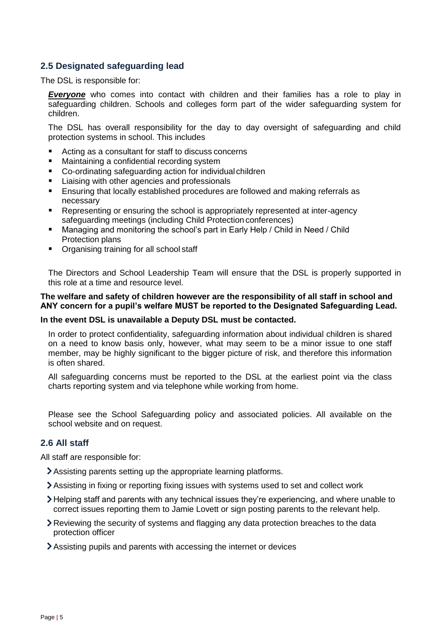## **2.5 Designated safeguarding lead**

The DSL is responsible for:

*Everyone* who comes into contact with children and their families has a role to play in safeguarding children. Schools and colleges form part of the wider safeguarding system for children.

The DSL has overall responsibility for the day to day oversight of safeguarding and child protection systems in school. This includes

- Acting as a consultant for staff to discuss concerns
- Maintaining a confidential recording system
- Co-ordinating safeguarding action for individual children
- Liaising with other agencies and professionals
- **Ensuring that locally established procedures are followed and making referrals as** necessary
- **Representing or ensuring the school is appropriately represented at inter-agency** safeguarding meetings (including Child Protection conferences)
- Managing and monitoring the school's part in Early Help / Child in Need / Child Protection plans
- Organising training for all school staff

The Directors and School Leadership Team will ensure that the DSL is properly supported in this role at a time and resource level.

#### **The welfare and safety of children however are the responsibility of all staff in school and ANY concern for a pupil's welfare MUST be reported to the Designated Safeguarding Lead.**

#### **In the event DSL is unavailable a Deputy DSL must be contacted.**

In order to protect confidentiality, safeguarding information about individual children is shared on a need to know basis only, however, what may seem to be a minor issue to one staff member, may be highly significant to the bigger picture of risk, and therefore this information is often shared.

All safeguarding concerns must be reported to the DSL at the earliest point via the class charts reporting system and via telephone while working from home.

Please see the School Safeguarding policy and associated policies. All available on the school website and on request.

#### **2.6 All staff**

All staff are responsible for:

- Assisting parents setting up the appropriate learning platforms.
- Assisting in fixing or reporting fixing issues with systems used to set and collect work
- Helping staff and parents with any technical issues they're experiencing, and where unable to correct issues reporting them to Jamie Lovett or sign posting parents to the relevant help.
- Reviewing the security of systems and flagging any data protection breaches to the data protection officer
- Assisting pupils and parents with accessing the internet or devices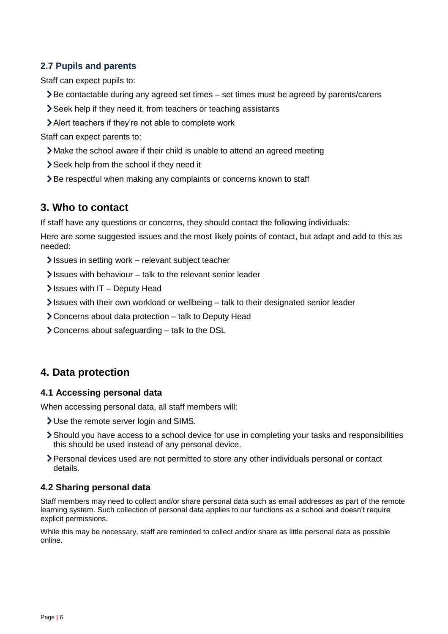## **2.7 Pupils and parents**

Staff can expect pupils to:

- Be contactable during any agreed set times set times must be agreed by parents/carers
- Seek help if they need it, from teachers or teaching assistants
- Alert teachers if they're not able to complete work

Staff can expect parents to:

- Make the school aware if their child is unable to attend an agreed meeting
- Seek help from the school if they need it
- > Be respectful when making any complaints or concerns known to staff

# <span id="page-5-0"></span>**3. Who to contact**

If staff have any questions or concerns, they should contact the following individuals:

Here are some suggested issues and the most likely points of contact, but adapt and add to this as needed:

- $\blacktriangleright$  Issues in setting work relevant subject teacher
- $\blacktriangleright$  Issues with behaviour talk to the relevant senior leader
- $\blacktriangleright$  Issues with IT Deputy Head
- $\ge$  Issues with their own workload or wellbeing  $-$  talk to their designated senior leader
- Concerns about data protection talk to Deputy Head
- Concerns about safeguarding talk to the DSL

# <span id="page-5-1"></span>**4. Data protection**

## **4.1 Accessing personal data**

When accessing personal data, all staff members will:

- Use the remote server login and SIMS.
- Should you have access to a school device for use in completing your tasks and responsibilities this should be used instead of any personal device.
- Personal devices used are not permitted to store any other individuals personal or contact details.

## **4.2 Sharing personal data**

Staff members may need to collect and/or share personal data such as email addresses as part of the remote learning system. Such collection of personal data applies to our functions as a school and doesn't require explicit permissions.

While this may be necessary, staff are reminded to collect and/or share as little personal data as possible online.